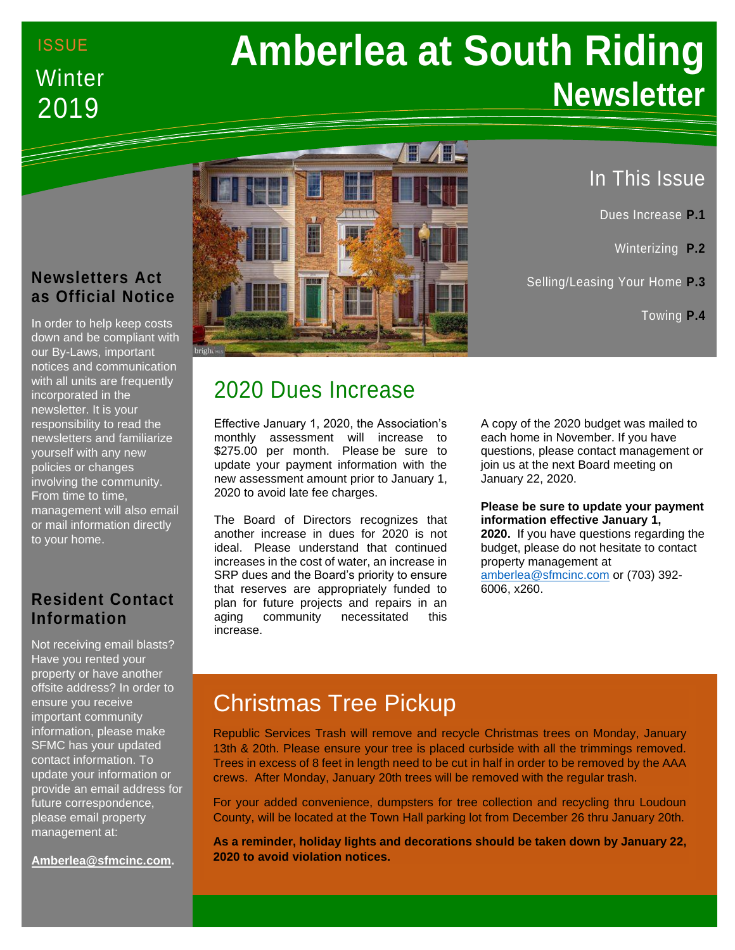# ISSUE 2019 **Winter**

# **Amberlea at South Riding Newsletter**

# **Newsletters Act as Official Notice**

In order to help keep costs down and be compliant with our By-Laws, important notices and communication with all units are frequently incorporated in the newsletter. It is your responsibility to read the newsletters and familiarize yourself with any new policies or changes involving the community. From time to time, management will also email or mail information directly to your home.

# **Resident Contact Information**

Not receiving email blasts? Have you rented your property or have another offsite address? In order to ensure you receive important community information, please make SFMC has your updated contact information. To update your information or provide an email address for future correspondence, please email property management at:

**[Amberlea@sfmcinc.com.](mailto:Amberlea@sfmcinc.com)**



# In This Issue

Dues Increase **P.1**

Winterizing **P.2**

Selling/Leasing Your Home **P.3**

Towing **P.4**

# 2020 Dues Increase

Effective January 1, 2020, the Association's monthly assessment will increase to \$275.00 per month. Please be sure to update your payment information with the new assessment amount prior to January 1, 2020 to avoid late fee charges.

The Board of Directors recognizes that another increase in dues for 2020 is not ideal. Please understand that continued increases in the cost of water, an increase in SRP dues and the Board's priority to ensure that reserves are appropriately funded to plan for future projects and repairs in an aging community necessitated this increase.

A copy of the 2020 budget was mailed to each home in November. If you have questions, please contact management or join us at the next Board meeting on January 22, 2020.

**Please be sure to update your payment information effective January 1, 2020.** If you have questions regarding the budget, please do not hesitate to contact property management at [amberlea@sfmcinc.com](mailto:amberlea@sfmcinc.com) or (703) 392- 6006, x260.

# Christmas Tree Pickup

Republic Services Trash will remove and recycle Christmas trees on Monday, January 13th & 20th. Please ensure your tree is placed curbside with all the trimmings removed. Trees in excess of 8 feet in length need to be cut in half in order to be removed by the AAA crews. After Monday, January 20th trees will be removed with the regular trash.

For your added convenience, dumpsters for tree collection and recycling thru Loudoun County, will be located at the Town Hall parking lot from December 26 thru January 20th.

**As a reminder, holiday lights and decorations should be taken down by January 22, 2020 to avoid violation notices.**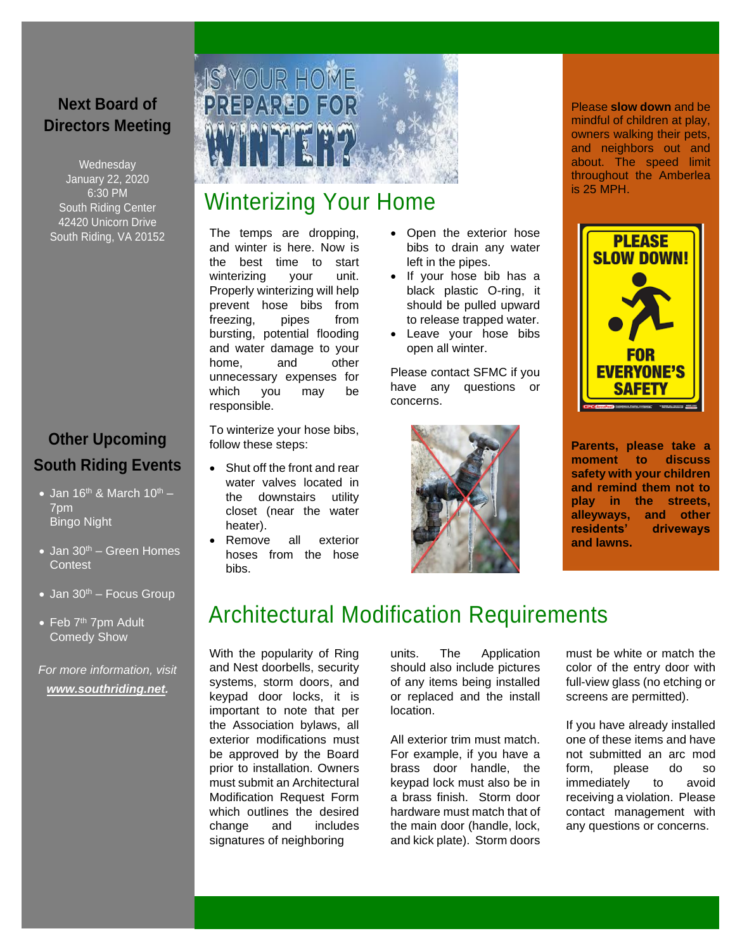# **Next Board of Directors Meeting**

**Wednesday** January 22, 2020 6:30 PM South Riding Center 42420 Unicorn Drive South Riding, VA 20152

# **Other Upcoming South Riding Events**

- Jan 16<sup>th</sup> & March 10<sup>th</sup> 7pm Bingo Night
- Jan 30<sup>th</sup> Green Homes **Contest**
- $\bullet$  Jan 30<sup>th</sup> Focus Group
- Feb  $7<sup>th</sup>$  7pm Adult Comedy Show

*For more information, visit [www.southriding.net.](http://www.southriding.net/)*

# **IS YOUR HOME PREPARED FOR**

# Winterizing Your Home

The temps are dropping, and winter is here. Now is the best time to start winterizing your unit. Properly winterizing will help prevent hose bibs from freezing, pipes from bursting, potential flooding and water damage to your home, and other unnecessary expenses for which you may be responsible.

To winterize your hose bibs, follow these steps:

- Shut off the front and rear water valves located in the downstairs utility closet (near the water heater).
- Remove all exterior hoses from the hose bibs.
- Open the exterior hose bibs to drain any water left in the pipes.
- If your hose bib has a black plastic O-ring, it should be pulled upward to release trapped water.
- Leave your hose bibs open all winter.

Please contact SFMC if you have any questions or concerns.



Please **slow down** and be mindful of children at play, owners walking their pets, and neighbors out and about. The speed limit throughout the Amberlea is 25 MPH.



**Parents, please take a moment to discuss safety with your children and remind them not to play in the streets, alleyways, and other residents' driveways and lawns.**

# Architectural Modification Requirements

With the popularity of Ring and Nest doorbells, security systems, storm doors, and keypad door locks, it is important to note that per the Association bylaws, all exterior modifications must be approved by the Board prior to installation. Owners must submit an Architectural Modification Request Form which outlines the desired change and includes signatures of neighboring

units. The Application should also include pictures of any items being installed or replaced and the install location.

All exterior trim must match. For example, if you have a brass door handle, the keypad lock must also be in a brass finish. Storm door hardware must match that of the main door (handle, lock, and kick plate). Storm doors

must be white or match the color of the entry door with full-view glass (no etching or screens are permitted).

If you have already installed one of these items and have not submitted an arc mod form, please do so immediately to avoid receiving a violation. Please contact management with any questions or concerns.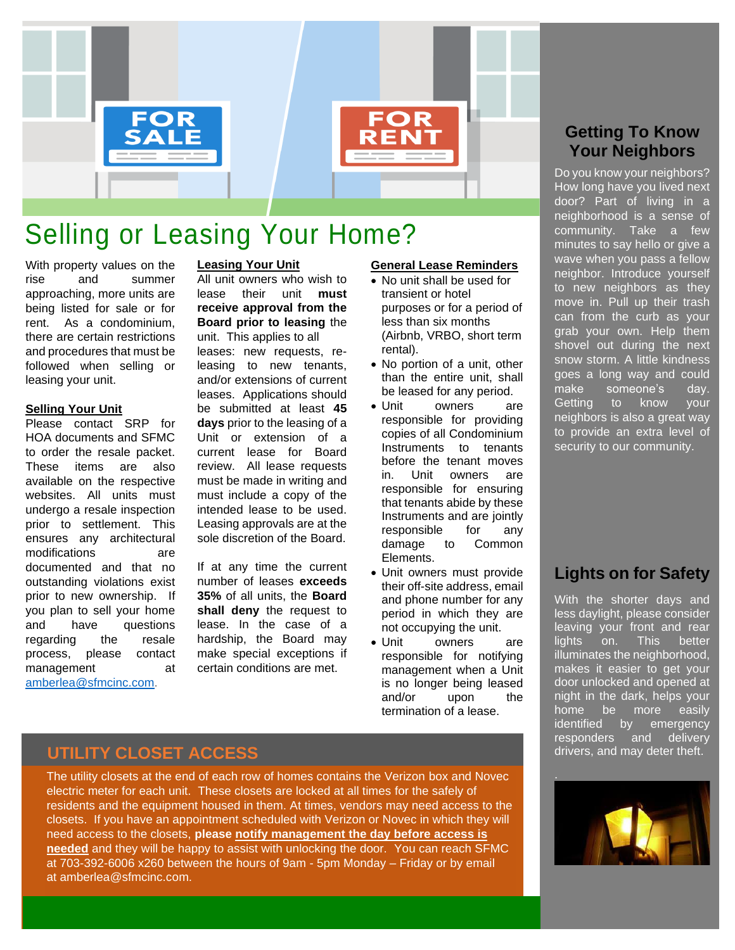

# Selling or Leasing Your Home?

With property values on the rise and summer approaching, more units are being listed for sale or for rent. As a condominium, there are certain restrictions and procedures that must be followed when selling or leasing your unit.

#### **Selling Your Unit**

Please contact SRP for HOA documents and SFMC to order the resale packet. These items are also available on the respective websites. All units must undergo a resale inspection prior to settlement. This ensures any architectural modifications are documented and that no outstanding violations exist prior to new ownership. If you plan to sell your home and have questions regarding the resale process, please contact management at [amberlea@sfmcinc.com.](mailto:amberlea@sfmcinc.com)

#### **Leasing Your Unit**

All unit owners who wish to lease their unit **must receive approval from the Board prior to leasing** the unit. This applies to all leases: new requests, releasing to new tenants, and/or extensions of current leases. Applications should be submitted at least **45 days** prior to the leasing of a Unit or extension of a

current lease for Board review. All lease requests must be made in writing and must include a copy of the intended lease to be used. Leasing approvals are at the sole discretion of the Board.

If at any time the current number of leases **exceeds 35%** of all units, the **Board shall deny** the request to lease. In the case of a hardship, the Board may make special exceptions if certain conditions are met.

#### **General Lease Reminders**

- No unit shall be used for transient or hotel purposes or for a period of less than six months (Airbnb, VRBO, short term rental).
- No portion of a unit, other than the entire unit, shall be leased for any period.
- Unit owners are responsible for providing copies of all Condominium Instruments to tenants before the tenant moves in. Unit owners are responsible for ensuring that tenants abide by these Instruments and are jointly responsible for any damage to Common Elements.
- Unit owners must provide their off-site address, email and phone number for any period in which they are not occupying the unit.
- Unit owners are responsible for notifying management when a Unit is no longer being leased and/or upon the termination of a lease.

## **Getting To Know Your Neighbors**

Do you know your neighbors? How long have you lived next door? Part of living in a neighborhood is a sense of community. Take a few minutes to say hello or give a wave when you pass a fellow neighbor. Introduce yourself to new neighbors as they move in. Pull up their trash can from the curb as your grab your own. Help them shovel out during the next snow storm. A little kindness goes a long way and could make someone's day. Getting to know your neighbors is also a great way to provide an extra level of security to our community.

## **Lights on for Safety**

With the shorter days and less daylight, please consider leaving your front and rear lights on. This better illuminates the neighborhood, makes it easier to get your door unlocked and opened at night in the dark, helps your home be more easily identified by emergency responders and delivery drivers, and may deter theft.



# **UTILITY CLOSET ACCESS**

The utility closets at the end of each row of homes contains the Verizon box and Novec electric meter for each unit. These closets are locked at all times for the safely of residents and the equipment housed in them. At times, vendors may need access to the closets. If you have an appointment scheduled with Verizon or Novec in which they will need access to the closets, **please notify management the day before access is needed** and they will be happy to assist with unlocking the door. You can reach SFMC at 703-392-6006 x260 between the hours of 9am - 5pm Monday – Friday or by email at [amberlea@sfmcinc.com.](mailto:amberlea@sfmcinc.com)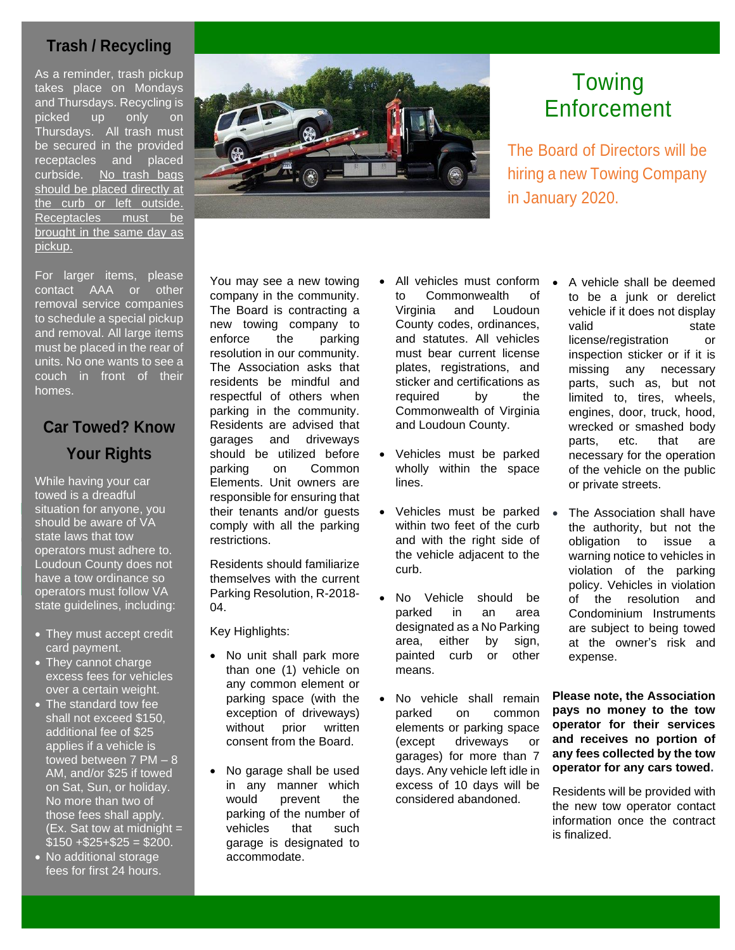## **Trash / Recycling**

As a reminder, trash pickup takes place on Mondays and Thursdays. Recycling is picked up only on Thursdays. All trash must be secured in the provided receptacles and placed curbside. No trash bags should be placed directly at the curb or left outside. Receptacles must be brought in the same day as pickup.



# Towing Enforcement

The Board of Directors will be hiring a new Towing Company in January 2020.

For larger items, please contact AAA or other removal service companies to schedule a special pickup and removal. All large items must be placed in the rear of units. No one wants to see a couch in front of their homes.

# **Car Towed? Know Your Rights**

While having your car towed is a dreadful situation for anyone, you should be aware of VA state laws that tow operators must adhere to. Loudoun County does not have a tow ordinance so operators must follow VA state guidelines, including:

- They must accept credit card payment.
- They cannot charge excess fees for vehicles over a certain weight.
- The standard tow fee shall not exceed \$150, additional fee of \$25 applies if a vehicle is towed between 7 PM – 8 AM, and/or \$25 if towed on Sat, Sun, or holiday. No more than two of those fees shall apply.  $(EX.$  Sat tow at midnight =  $\$150 + \$25 + \$25 = \$200$ .
- No additional storage fees for first 24 hours.

You may see a new towing company in the community. The Board is contracting a new towing company to enforce the parking resolution in our community. The Association asks that residents be mindful and respectful of others when parking in the community. Residents are advised that garages and driveways should be utilized before parking on Common Elements. Unit owners are responsible for ensuring that their tenants and/or guests comply with all the parking restrictions.

Residents should familiarize themselves with the current Parking Resolution, R-2018- 04.

Key Highlights:

- No unit shall park more than one (1) vehicle on any common element or parking space (with the exception of driveways) without prior written consent from the Board.
- No garage shall be used in any manner which would prevent the parking of the number of vehicles that such garage is designated to accommodate.
- All vehicles must conform to Commonwealth of Virginia and Loudoun County codes, ordinances, and statutes. All vehicles must bear current license plates, registrations, and sticker and certifications as required by the Commonwealth of Virginia and Loudoun County.
- Vehicles must be parked wholly within the space lines.
- Vehicles must be parked within two feet of the curb and with the right side of the vehicle adjacent to the curb.
- No Vehicle should be parked in an area designated as a No Parking area, either by sign, painted curb or other means.
- No vehicle shall remain parked on common elements or parking space (except driveways or garages) for more than 7 days. Any vehicle left idle in excess of 10 days will be considered abandoned.
- A vehicle shall be deemed to be a junk or derelict vehicle if it does not display valid state license/registration or inspection sticker or if it is missing any necessary parts, such as, but not limited to, tires, wheels, engines, door, truck, hood, wrecked or smashed body parts, etc. that are necessary for the operation of the vehicle on the public or private streets.
- The Association shall have the authority, but not the obligation to issue a warning notice to vehicles in violation of the parking policy. Vehicles in violation of the resolution and Condominium Instruments are subject to being towed at the owner's risk and expense.

**Please note, the Association pays no money to the tow operator for their services and receives no portion of any fees collected by the tow operator for any cars towed.** 

Residents will be provided with the new tow operator contact information once the contract is finalized.